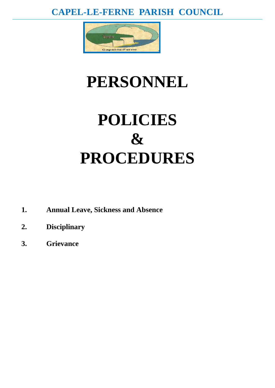# **CAPEL-LE-FERNE PARISH COUNCIL**



# **PERSONNEL**

# **POLICIES & PROCEDURES**

- **1. Annual Leave, Sickness and Absence**
- **2. Disciplinary**
- **3. Grievance**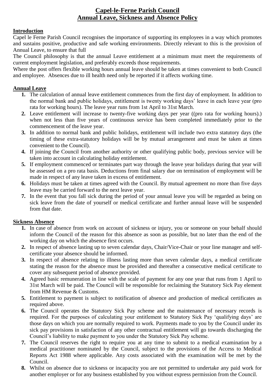# **Capel-le-Ferne Parish Council Annual Leave, Sickness and Absence Policy**

#### **Introduction**

Capel le Ferne Parish Council recognises the importance of supporting its employees in a way which promotes and sustains positive, productive and safe working environments. Directly relevant to this is the provision of Annual Leave, to ensure that full

The Council philosophy is that the annual Leave entitlement at a minimum must meet the requirements of current employment legislation, and preferably exceeds those requirements.

Where the post offers flexible working hours annual leave should be taken at times convenient to both Council and employee. Absences due to ill health need only be reported if it affects working time.

#### **Annual Leave**

- **1.** The calculation of annual leave entitlement commences from the first day of employment. In addition to the normal bank and public holidays, entitlement is twenty working days' leave in each leave year (pro rata for working hours). The leave year runs from 1st April to 31st March.
- **2.** Leave entitlement will increase to twenty-five working days per year ((pro rata for working hours).) when not less than five years of continuous service has been completed immediately prior to the commencement of the leave year.
- **3.** In addition to normal bank and public holidays, entitlement will include two extra statutory days (the timing of these extra-statutory holidays will be by mutual arrangement and must be taken at times convenient to the Council).
- **4.** If joining the Council from another authority or other qualifying public body, previous service will be taken into account in calculating holiday entitlement.
- **5.** If employment commenced or terminates part way through the leave year holidays during that year will be assessed on a pro rata basis. Deductions from final salary due on termination of employment will be made in respect of any leave taken in excess of entitlement.
- **6.** Holidays must be taken at times agreed with the Council. By mutual agreement no more than five days leave may be carried forward to the next leave year.
- **7.** In the event that you fall sick during the period of your annual leave you will be regarded as being on sick leave from the date of yourself or medical certificate and further annual leave will be suspended from that date.

#### **Sickness Absence**

- **1.** In case of absence from work on account of sickness or injury, you or someone on your behalf should inform the Council of the reason for this absence as soon as possible, but no later than the end of the working day on which the absence first occurs.
- **2.** In respect of absence lasting up to seven calendar days, Chair/Vice-Chair or your line manager and selfcertificate your absence should be informed.
- **3.** In respect of absence relating to illness lasting more than seven calendar days, a medical certificate stating the reason for the absence must be provided and thereafter a consecutive medical certificate to cover any subsequent period of absence provided.
- **4.** Agreed basic remuneration in line with the scale of payment for any one year that runs from 1 April to 31st March will be paid. The Council will be responsible for reclaiming the Statutory Sick Pay element from HM Revenue & Customs.
- **5.** Entitlement to payment is subject to notification of absence and production of medical certificates as required above.
- **6.** The Council operates the Statutory Sick Pay scheme and the maintenance of necessary records is required. For the purposes of calculating your entitlement to Statutory Sick Pay 'qualifying days' are those days on which you are normally required to work. Payments made to you by the Council under its sick pay provisions in satisfaction of any other contractual entitlement will go towards discharging the Council's liability to make payment to you under the Statutory Sick Pay scheme.
- **7.** The Council reserves the right to require you at any time to submit to a medical examination by a medical practitioner nominated by the Council, subject to the provisions of the Access to Medical Reports Act 1988 where applicable. Any costs associated with the examination will be met by the Council.
- **8.** Whilst on absence due to sickness or incapacity you are not permitted to undertake any paid work for another employer or for any business established by you without express permission from the Council.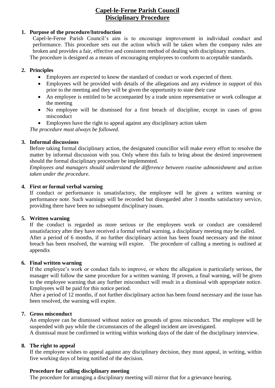## **Capel-le-Ferne Parish Council Disciplinary Procedure**

### **1. Purpose of the procedure/Introduction**

Capel-le-Ferne Parish Council's aim is to encourage improvement in individual conduct and performance. This procedure sets out the action which will be taken when the company rules are broken and provides a fair, effective and consistent method of dealing with disciplinary matters. The procedure is designed as a means of encouraging employees to conform to acceptable standards.

#### **2. Principles**

- Employees are expected to know the standard of conduct or work expected of them.
- Employees will be provided with details of the allegations and any evidence in support of this prior to the meeting and they will be given the opportunity to state their case
- An employee is entitled to be accompanied by a trade union representative or work colleague at the meeting
- No employee will be dismissed for a first breach of discipline, except in cases of gross misconduct
- Employees have the right to appeal against any disciplinary action taken

*The procedure must always be followed*.

#### **3. Informal discussions**

Before taking formal disciplinary action, the designated councillor will make every effort to resolve the matter by informal discussion with you. Only where this fails to bring about the desired improvement should the formal disciplinary procedure be implemented.

*Employees and managers should understand the difference between routine admonishment and action taken under the procedure*.

#### **4. First or formal verbal warning**

If conduct or performance is unsatisfactory, the employee will be given a written warning or performance note. Such warnings will be recorded but disregarded after 3 months satisfactory service, providing there have been no subsequent disciplinary issues.

#### **5. Written warning**

If the conduct is regarded as more serious or the employees work or conduct are considered unsatisfactory after they have received a formal verbal warning, a disciplinary meeting may be called. After a period of 6 months, if no further disciplinary action has been found necessary and the minor breach has been resolved, the warning will expire. The procedure of calling a meeting is outlined at appendix

#### **6. Final written warning**

If the employee's work or conduct fails to improve, or where the allegation is particularly serious, the manager will follow the same procedure for a written warning. If proven, a final warning, will be given to the employee warning that any further misconduct will result in a dismissal with appropriate notice. Employees will be paid for this notice period.

After a period of 12 months, if not further disciplinary action has been found necessary and the issue has been resolved, the warning will expire.

#### **7. Gross misconduct**

An employee can be dismissed without notice on grounds of gross misconduct. The employee will be suspended with pay while the circumstances of the alleged incident are investigated.

A dismissal must be confirmed in writing within working days of the date of the disciplinary interview.

#### **8. The right to appeal**

If the employee wishes to appeal against any disciplinary decision, they must appeal, in writing, within five working days of being notified of the decision.

#### **Procedure for calling disciplinary meeting**

The procedure for arranging a disciplinary meeting will mirror that for a grievance hearing.